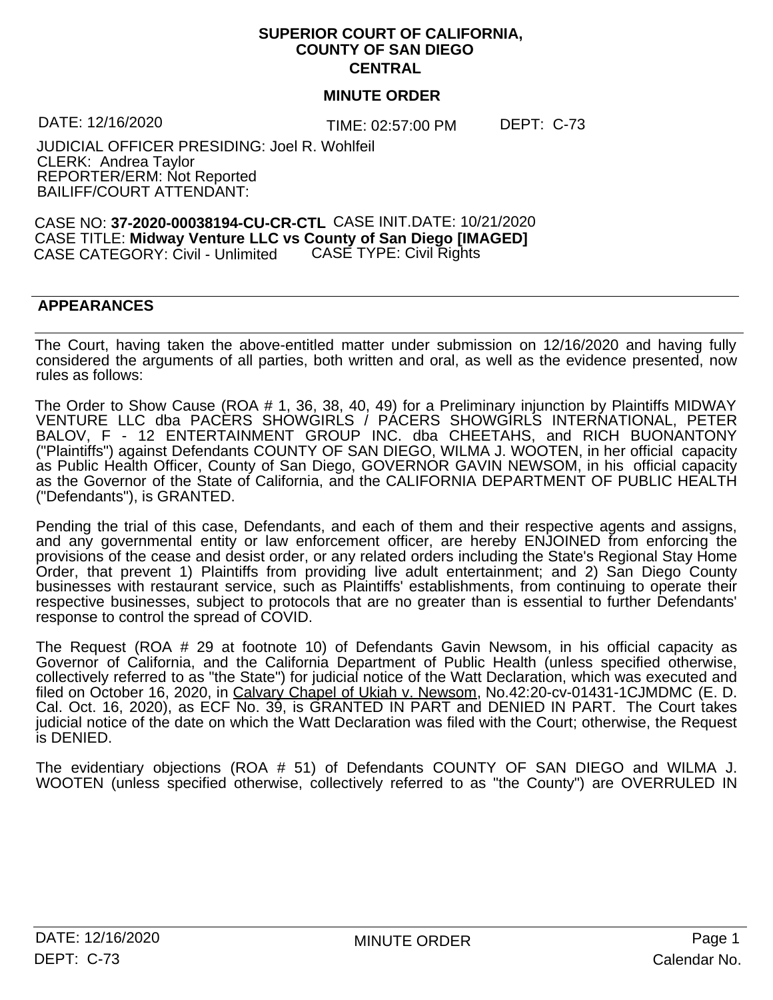## **SUPERIOR COURT OF CALIFORNIA, COUNTY OF SAN DIEGO CENTRAL**

## **MINUTE ORDER**

DATE: 12/16/2020

TIME: 02:57:00 PM

JUDICIAL OFFICER PRESIDING: Joel R. Wohlfeil CLERK: Andrea Taylor REPORTER/ERM: Not Reported BAILIFF/COURT ATTENDANT:

CASE NO: **37-2020-00038194-CU-CR-CTL** CASE INIT.DATE: 10/21/2020 CASE TITLE: **Midway Venture LLC vs County of San Diego [IMAGED]** CASE CATEGORY: Civil - Unlimited CASE TYPE: Civil Rights

## **APPEARANCES**

The Court, having taken the above-entitled matter under submission on 12/16/2020 and having fully considered the arguments of all parties, both written and oral, as well as the evidence presented, now rules as follows:

The Order to Show Cause (ROA # 1, 36, 38, 40, 49) for a Preliminary injunction by Plaintiffs MIDWAY VENTURE LLC dba PACERS SHOWGIRLS / PACERS SHOWGIRLS INTERNATIONAL, PETER BALOV, F - 12 ENTERTAINMENT GROUP INC. dba CHEETAHS, and RICH BUONANTONY ("Plaintiffs") against Defendants COUNTY OF SAN DIEGO, WILMA J. WOOTEN, in her official capacity as Public Health Officer, County of San Diego, GOVERNOR GAVIN NEWSOM, in his official capacity as the Governor of the State of California, and the CALIFORNIA DEPARTMENT OF PUBLIC HEALTH ("Defendants"), is GRANTED.

Pending the trial of this case, Defendants, and each of them and their respective agents and assigns, and any governmental entity or law enforcement officer, are hereby ENJOINED from enforcing the provisions of the cease and desist order, or any related orders including the State's Regional Stay Home Order, that prevent 1) Plaintiffs from providing live adult entertainment; and 2) San Diego County businesses with restaurant service, such as Plaintiffs' establishments, from continuing to operate their respective businesses, subject to protocols that are no greater than is essential to further Defendants' response to control the spread of COVID.

The Request (ROA # 29 at footnote 10) of Defendants Gavin Newsom, in his official capacity as Governor of California, and the California Department of Public Health (unless specified otherwise, collectively referred to as "the State") for judicial notice of the Watt Declaration, which was executed and filed on October 16, 2020, in Calvary Chapel of Ukiah v. Newsom, No.42:20-cv-01431-1CJMDMC (E. D. Cal. Oct. 16, 2020), as ECF No. 39, is GRANTED IN PART and DENIED IN PART. The Court takes judicial notice of the date on which the Watt Declaration was filed with the Court; otherwise, the Request is DENIED.

The evidentiary objections (ROA # 51) of Defendants COUNTY OF SAN DIEGO and WILMA J. WOOTEN (unless specified otherwise, collectively referred to as "the County") are OVERRULED IN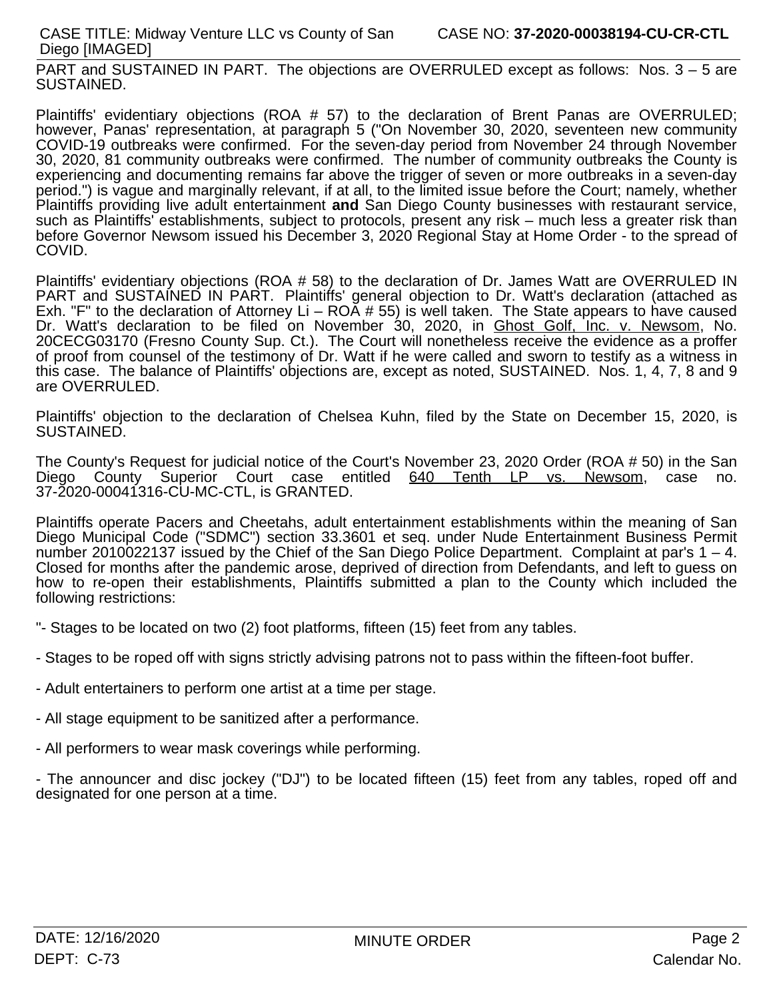PART and SUSTAINED IN PART. The objections are OVERRULED except as follows: Nos. 3 – 5 are SUSTAINED.

Plaintiffs' evidentiary objections (ROA # 57) to the declaration of Brent Panas are OVERRULED; however, Panas' representation, at paragraph 5 ("On November 30, 2020, seventeen new community COVID-19 outbreaks were confirmed. For the seven-day period from November 24 through November 30, 2020, 81 community outbreaks were confirmed. The number of community outbreaks the County is experiencing and documenting remains far above the trigger of seven or more outbreaks in a seven-day period.") is vague and marginally relevant, if at all, to the limited issue before the Court; namely, whether Plaintiffs providing live adult entertainment **and** San Diego County businesses with restaurant service, such as Plaintiffs<sup>'</sup> establishments, subject to protocols, present any risk – much less a greater risk than before Governor Newsom issued his December 3, 2020 Regional Stay at Home Order - to the spread of COVID.

Plaintiffs' evidentiary objections (ROA # 58) to the declaration of Dr. James Watt are OVERRULED IN PART and SUSTAINED IN PART. Plaintiffs' general objection to Dr. Watt's declaration (attached as Exh. "F" to the declaration of Attorney Li –  $ROA \# 55$ ) is well taken. The State appears to have caused Dr. Watt's declaration to be filed on November 30, 2020, in Ghost Golf, Inc. v. Newsom, No. 20CECG03170 (Fresno County Sup. Ct.). The Court will nonetheless receive the evidence as a proffer of proof from counsel of the testimony of Dr. Watt if he were called and sworn to testify as a witness in this case. The balance of Plaintiffs' objections are, except as noted, SUSTAINED. Nos. 1, 4, 7, 8 and 9 are OVERRULED.

Plaintiffs' objection to the declaration of Chelsea Kuhn, filed by the State on December 15, 2020, is SUSTAINED.

The County's Request for judicial notice of the Court's November 23, 2020 Order(ROA # 50) in the San Diego County Superior Court case entitled 640 Tenth LP vs. Newsom, case no. 37-2020-00041316-CU-MC-CTL, is GRANTED.

Plaintiffs operate Pacers and Cheetahs, adult entertainment establishments within the meaning of San Diego Municipal Code ("SDMC") section 33.3601 et seq. under Nude Entertainment Business Permit number 2010022137 issued by the Chief of the San Diego Police Department. Complaint at par's 1 – 4. Closed for months after the pandemic arose, deprived of direction from Defendants, and left to guess on how to re-open their establishments, Plaintiffs submitted a plan to the County which included the following restrictions:

- "- Stages to be located on two (2) foot platforms, fifteen (15) feet from any tables.
- Stages to be roped off with signs strictly advising patrons not to pass within the fifteen-foot buffer.
- Adult entertainers to perform one artist at a time per stage.
- All stage equipment to be sanitized after a performance.
- All performers to wear mask coverings while performing.

- The announcer and disc jockey ("DJ") to be located fifteen (15) feet from any tables, roped off and designated for one person at a time.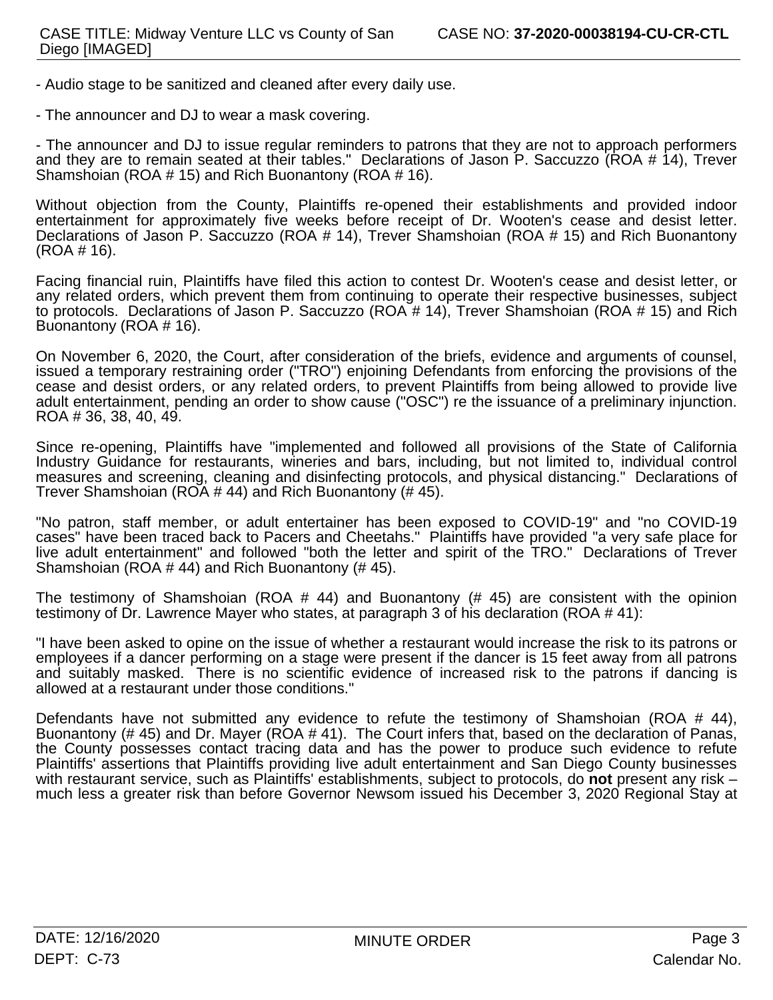- Audio stage to be sanitized and cleaned after every daily use.
- The announcer and DJ to wear a mask covering.

- The announcer and DJ to issue regular reminders to patrons that they are not to approach performers and they are to remain seated at their tables." Declarations of Jason P. Saccuzzo (ROA # 14), Trever Shamshoian (ROA # 15) and Rich Buonantony (ROA # 16).

Without objection from the County, Plaintiffs re-opened their establishments and provided indoor entertainment for approximately five weeks before receipt of Dr. Wooten's cease and desist letter. Declarations of Jason P. Saccuzzo (ROA # 14), Trever Shamshoian (ROA # 15) and Rich Buonantony (ROA # 16).

Facing financial ruin, Plaintiffs have filed this action to contest Dr. Wooten's cease and desist letter, or any related orders, which prevent them from continuing to operate their respective businesses, subject to protocols. Declarations of Jason P. Saccuzzo (ROA # 14), Trever Shamshoian (ROA # 15) and Rich Buonantony (ROA # 16).

On November 6, 2020, the Court, after consideration of the briefs, evidence and arguments of counsel, issued a temporary restraining order ("TRO") enjoining Defendants from enforcing the provisions of the cease and desist orders, or any related orders, to prevent Plaintiffs from being allowed to provide live adult entertainment, pending an order to show cause ("OSC") re the issuance of a preliminary injunction. ROA # 36, 38, 40, 49.

Since re-opening, Plaintiffs have "implemented and followed all provisions of the State of California Industry Guidance for restaurants, wineries and bars, including, but not limited to, individual control measures and screening, cleaning and disinfecting protocols, and physical distancing." Declarations of Trever Shamshoian (ROA # 44) and Rich Buonantony (# 45).

"No patron, staff member, or adult entertainer has been exposed to COVID-19" and "no COVID-19 cases" have been traced back to Pacers and Cheetahs." Plaintiffs have provided "a very safe place for live adult entertainment" and followed "both the letter and spirit of the TRO." Declarations of Trever Shamshoian (ROA # 44) and Rich Buonantony (# 45).

The testimony of Shamshoian (ROA  $#$  44) and Buonantony ( $#$  45) are consistent with the opinion testimony of Dr. Lawrence Mayer who states, at paragraph 3 of his declaration (ROA # 41):

"I have been asked to opine on the issue of whether a restaurant would increase the risk to its patrons or employees if a dancer performing on a stage were present if the dancer is 15 feet away from all patrons and suitably masked. There is no scientific evidence of increased risk to the patrons if dancing is allowed at a restaurant under those conditions."

Defendants have not submitted any evidence to refute the testimony of Shamshoian (ROA  $\#$  44), Buonantony (# 45) and Dr. Mayer (ROA # 41). The Court infers that, based on the declaration of Panas, the County possesses contact tracing data and has the power to produce such evidence to refute Plaintiffs' assertions that Plaintiffs providing live adult entertainment and San Diego County businesses with restaurant service, such as Plaintiffs' establishments, subject to protocols, do not present any risk – much less a greater risk than before Governor Newsom issued his December 3, 2020 Regional Stay at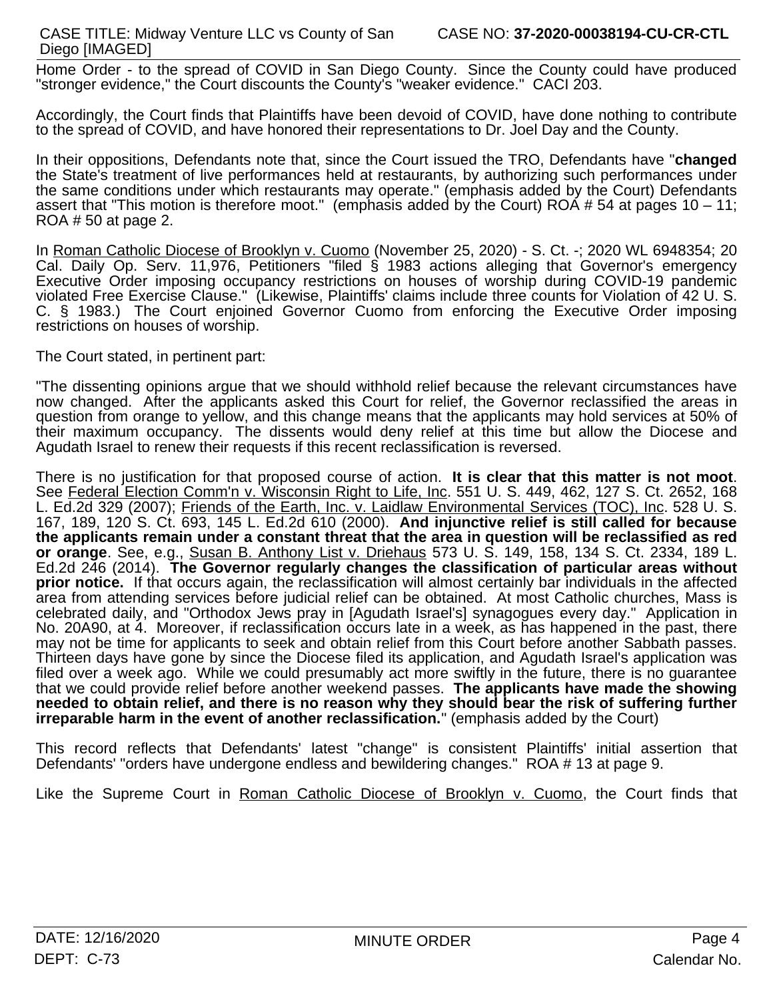Home Order - to the spread of COVID in San Diego County. Since the County could have produced "stronger evidence," the Court discounts the County's "weaker evidence." CACI 203.

Accordingly, the Court finds that Plaintiffs have been devoid of COVID, have done nothing to contribute to the spread of COVID, and have honored their representations to Dr. Joel Day and the County.

In their oppositions, Defendants note that, since the Court issued the TRO, Defendants have "**changed** the State's treatment of live performances held at restaurants, by authorizing such performances under the same conditions under which restaurants may operate." (emphasis added by the Court) Defendants assert that "This motion is therefore moot." (emphasis added by the Court) ROA # 54 at pages 10 – 11; ROA # 50 at page 2.

In Roman Catholic Diocese of Brooklyn v. Cuomo (November 25, 2020) - S. Ct. -; 2020 WL 6948354; 20 Cal. Daily Op. Serv. 11,976, Petitioners "filed § 1983 actions alleging that Governor's emergency Executive Order imposing occupancy restrictions on houses of worship during COVID-19 pandemic violated Free Exercise Clause." (Likewise, Plaintiffs' claims include three counts for Violation of 42 U. S. C. § 1983.) The Court enjoined Governor Cuomo from enforcing the Executive Order imposing restrictions on houses of worship.

The Court stated, in pertinent part:

"The dissenting opinions argue that we should withhold relief because the relevant circumstances have now changed. After the applicants asked this Court for relief, the Governor reclassified the areas in question from orange to yellow, and this change means that the applicants may hold services at 50% of their maximum occupancy. The dissents would deny relief at this time but allow the Diocese and Agudath Israel to renew their requests if this recent reclassification is reversed.

There is no justification for that proposed course of action. **It is clear that this matter is not moot**. See Federal Election Comm'n v. Wisconsin Right to Life, Inc. 551 U. S. 449, 462, 127 S. Ct. 2652, 168 L. Ed.2d 329 (2007); Friends of the Earth, Inc. v. Laidlaw Environmental Services (TOC), Inc. 528 U. S. 167, 189, 120 S. Ct. 693, 145 L. Ed.2d 610 (2000).**And injunctive relief is still called for because the applicants remain under a constant threat that the area in question will be reclassified as red or orange**. See, e.g., Susan B. Anthony List v. Driehaus 573 U. S. 149, 158, 134 S. Ct. 2334, 189 L. Ed.2d 246 (2014).**The Governor regularly changes the classification of particular areas without prior notice.** If that occurs again, the reclassification will almost certainly bar individuals in the affected area from attending services before judicial relief can be obtained. At most Catholic churches, Mass is celebrated daily, and "Orthodox Jews pray in [Agudath Israel's] synagogues every day." Application in No. 20A90, at 4. Moreover, if reclassification occurs late in a week, as has happened in the past, there may not be time for applicants to seek and obtain relief from this Court before another Sabbath passes. Thirteen days have gone by since the Diocese filed its application, and Agudath Israel's application was filed over a week ago. While we could presumably act more swiftly in the future, there is no guarantee that we could provide relief before another weekend passes. **The applicants have made the showing needed to obtain relief, and there is no reason why they should bear the risk of suffering further irreparable harm in the event of another reclassification." (emphasis added by the Court)** 

This record reflects that Defendants' latest "change" is consistent Plaintiffs' initial assertion that Defendants' "orders have undergone endless and bewildering changes." ROA # 13 at page 9.

Like the Supreme Court in Roman Catholic Diocese of Brooklyn v. Cuomo, the Court finds that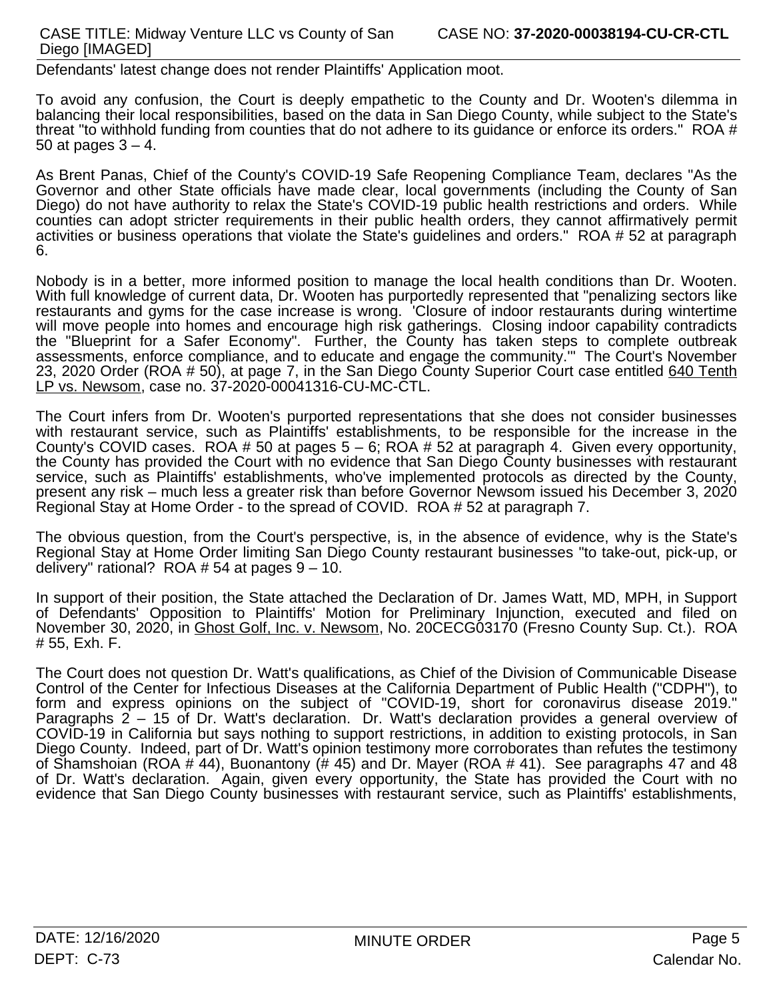## CASE TITLE: Midway Venture LLC vs County of San Diego [IMAGED]

Defendants' latest change does not render Plaintiffs' Application moot.

To avoid any confusion, the Court is deeply empathetic to the County and Dr. Wooten's dilemma in balancing their local responsibilities, based on the data in San Diego County, while subject to the State's threat "to withhold funding from counties that do not adhere to its guidance or enforce its orders." ROA # 50 at pages  $3 - 4$ .

As Brent Panas, Chief of the County's COVID-19 Safe Reopening Compliance Team, declares "As the Governor and other State officials have made clear, local governments (including the County of San Diego) do not have authority to relax the State's COVID-19 public health restrictions and orders. While counties can adopt stricter requirements in their public health orders, they cannot affirmatively permit activities or business operations that violate the State's guidelines and orders." ROA # 52 at paragraph 6.

Nobody is in a better, more informed position to manage the local health conditions than Dr. Wooten. With full knowledge of current data, Dr. Wooten has purportedly represented that "penalizing sectors like restaurants and gyms for the case increase is wrong. 'Closure of indoor restaurants during wintertime will move people into homes and encourage high risk gatherings. Closing indoor capability contradicts the "Blueprint for a Safer Economy". Further, the County has taken steps to complete outbreak assessments, enforce compliance, and to educate and engage the community.'" The Court's November 23, 2020 Order (ROA # 50), at page 7, in the San Diego County Superior Court case entitled 640 Tenth LP vs. Newsom, case no. 37-2020-00041316-CU-MC-CTL.

The Court infers from Dr. Wooten's purported representations that she does not consider businesses with restaurant service, such as Plaintiffs' establishments, to be responsible for the increase in the County's COVID cases. ROA # 50 at pages  $5 - 6$ ; ROA # 52 at paragraph 4. Given every opportunity, the County has provided the Court with no evidence that San Diego County businesses with restaurant service, such as Plaintiffs' establishments, who've implemented protocols as directed by the County, present any risk – much less a greater risk than before Governor Newsom issued his December 3, 2020 Regional Stay at Home Order - to the spread of COVID. ROA # 52 at paragraph 7.

The obvious question, from the Court's perspective, is, in the absence of evidence, why is the State's Regional Stay at Home Order limiting San Diego County restaurant businesses "to take-out, pick-up, or delivery" rational? ROA # 54 at pages 9 – 10.

In support of their position, the State attached the Declaration of Dr. James Watt, MD, MPH, in Support of Defendants' Opposition to Plaintiffs' Motion for Preliminary Injunction, executed and filed on November 30, 2020, in Ghost Golf, Inc. v. Newsom, No. 20CECG03170 (Fresno County Sup. Ct.). ROA # 55, Exh. F.

The Court does not question Dr. Watt's qualifications, as Chief of the Division of Communicable Disease Control of the Center for Infectious Diseases at the California Department of Public Health ("CDPH"), to form and express opinions on the subject of "COVID-19, short for coronavirus disease 2019." Paragraphs 2 – 15 of Dr. Watt's declaration. Dr. Watt's declaration provides a general overview of COVID-19 in California but says nothing to support restrictions, in addition to existing protocols, in San Diego County. Indeed, part of Dr. Watt's opinion testimony more corroborates than refutes the testimony of Shamshoian (ROA # 44), Buonantony (# 45) and Dr. Mayer (ROA # 41). See paragraphs 47 and 48 of Dr. Watt's declaration. Again, given every opportunity, the State has provided the Court with no evidence that San Diego County businesses with restaurant service, such as Plaintiffs' establishments,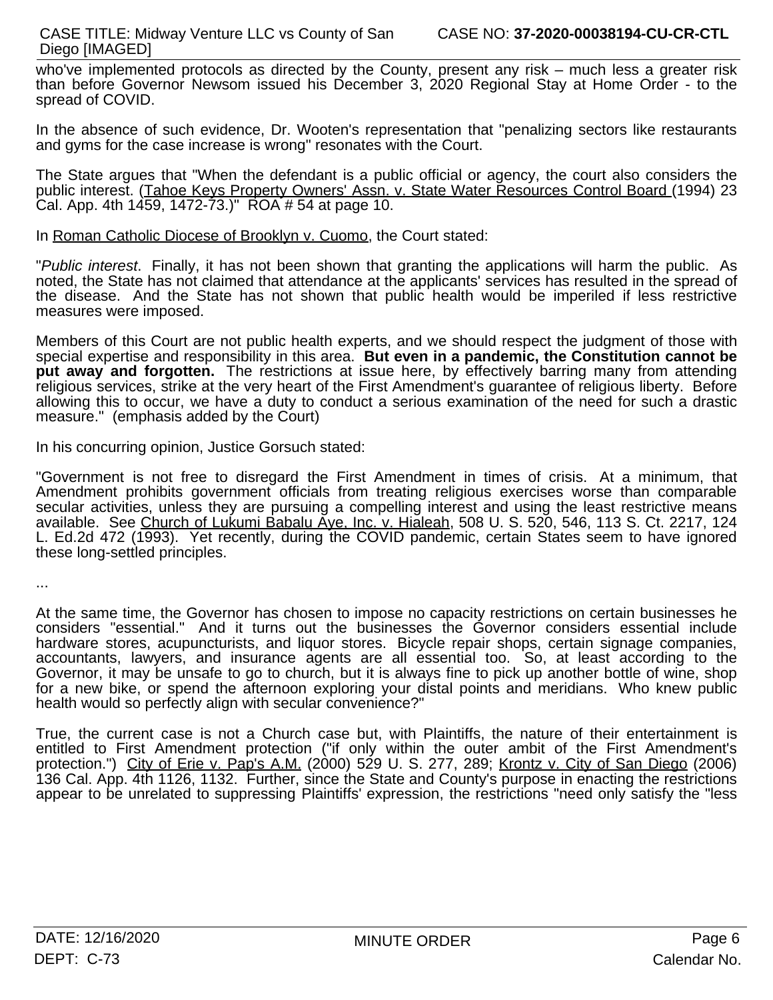who've implemented protocols as directed by the County, present any risk – much less a greater risk than before Governor Newsom issued his December 3, 2020 Regional Stay at Home Order - to the spread of COVID.

In the absence of such evidence, Dr. Wooten's representation that "penalizing sectors like restaurants and gyms for the case increase is wrong" resonates with the Court.

The State argues that "When the defendant is a public official or agency, the court also considers the public interest. (Tahoe Keys Property Owners' Assn. v. State Water Resources Control Board (1994) 23 Cal. App. 4th  $1459, 1472-73$ .)" ROA # 54 at page 10.

In Roman Catholic Diocese of Brooklyn v. Cuomo, the Court stated:

"*Public interest*. Finally, it has not been shown that granting the applications will harm the public. As noted, the State has not claimed that attendance at the applicants' services has resulted in the spread of the disease. And the State has not shown that public health would be imperiled if less restrictive measures were imposed.

Members of this Court are not public health experts, and we should respect the judgment of those with special expertise and responsibility in this area. **But even in a pandemic, the Constitution cannotbe put away and forgotten.** The restrictions at issue here, by effectively barring many from attending religious services, strike at the very heart of the First Amendment's guarantee of religious liberty. Before allowing this to occur, we have a duty to conduct a serious examination of the need for such a drastic measure." (emphasis added by the Court)

In his concurring opinion, Justice Gorsuch stated:

"Government is not free to disregard the First Amendment in times of crisis. At a minimum, that Amendment prohibits government officials from treating religious exercises worse than comparable secular activities, unless they are pursuing a compelling interest and using the least restrictive means available. See Church of Lukumi Babalu Aye, Inc. v. Hialeah, 508 U. S. 520, 546, 113 S. Ct. 2217, 124 L. Ed.2d 472 (1993). Yet recently, during the COVID pandemic, certain States seem to have ignored these long-settled principles.

...

At the same time, the Governor has chosen to impose no capacity restrictions on certain businesses he considers "essential." And it turns out the businesses the Governor considers essential include hardware stores, acupuncturists, and liquor stores. Bicycle repair shops, certain signage companies, accountants, lawyers, and insurance agents are all essential too. So, at least according to the Governor, it may be unsafe to go to church, but it is always fine to pick up another bottle of wine, shop for a new bike, or spend the afternoon exploring your distal points and meridians. Who knew public health would so perfectly align with secular convenience?"

True, the current case is not a Church case but, with Plaintiffs, the nature of their entertainment is entitled to First Amendment protection ("if only within the outer ambit of the First Amendment's protection.") City of Erie v. Pap's A.M. (2000) 529 U. S. 277, 289; Krontz v. City of San Diego (2006) 136 Cal. App. 4th 1126, 1132. Further, since the State and County's purpose in enacting the restrictions appear to be unrelated to suppressing Plaintiffs' expression, the restrictions "need only satisfy the "less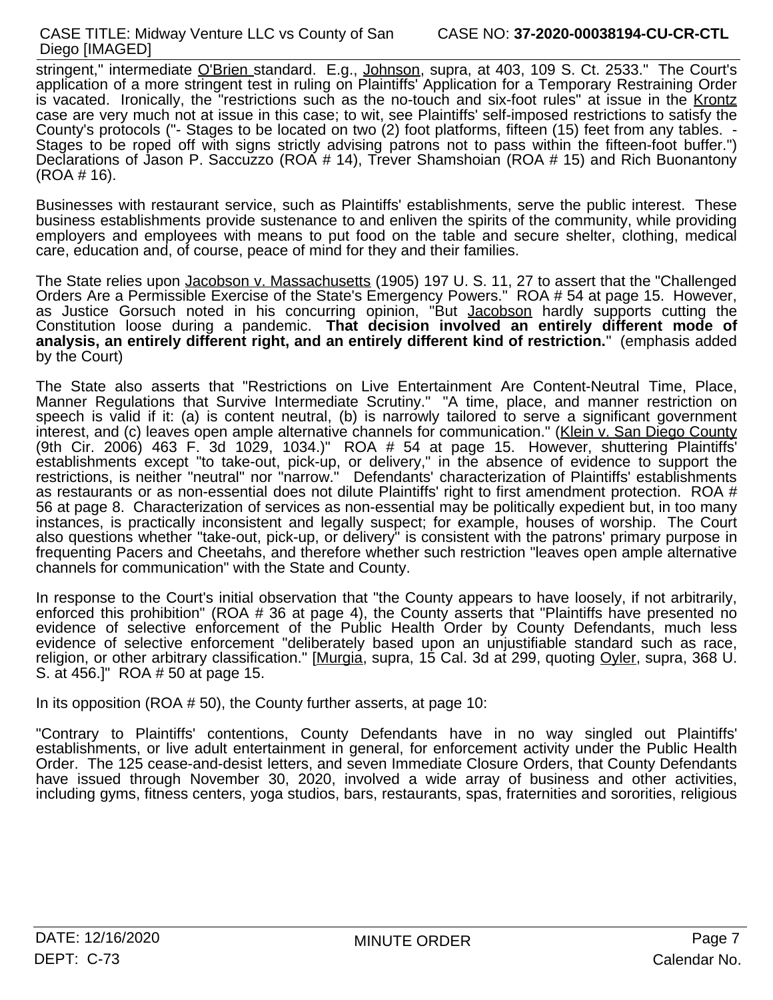stringent," intermediate O'Brien standard. E.g., Johnson, supra, at 403, 109 S. Ct. 2533." The Court's application of a more stringent test in ruling on Plaintiffs' Application for a Temporary Restraining Order is vacated. Ironically, the "restrictions such as the no-touch and six-foot rules" at issue in the Krontz case are very much not at issue in this case; to wit, see Plaintiffs' self-imposed restrictions to satisfy the County's protocols ("- Stages to be located on two (2) foot platforms, fifteen (15) feet from any tables. -<br>Stages to be roped off with signs strictly advising patrons not to pass within the fifteen-foot buffer.") Declarations of Jason P. Saccuzzo (ROA # 14), Trever Shamshoian (ROA # 15) and Rich Buonantony (ROA # 16).

Businesses with restaurant service, such as Plaintiffs' establishments, serve the public interest. These business establishments provide sustenance to and enliven the spirits of the community, while providing employers and employees with means to put food on the table and secure shelter, clothing, medical care, education and, of course, peace of mind for they and their families.

The State relies upon Jacobson v. Massachusetts (1905) 197 U. S. 11, 27 to assert that the "Challenged Orders Are a Permissible Exercise of the State's Emergency Powers." ROA # 54 at page 15. However, as Justice Gorsuch noted in his concurring opinion, "But Jacobson hardly supports cutting the Constitution loose during a pandemic. **That decision involved an entirely different mode of analysis, an entirely different right, and an entirely different kind of restriction.**" (emphasis added by the Court)

The State also asserts that "Restrictions on Live Entertainment Are Content-Neutral Time, Place, Manner Regulations that Survive Intermediate Scrutiny." "A time, place, and manner restriction on speech is valid if it: (a) is content neutral, (b) is narrowly tailored to serve a significant government interest, and (c) leaves open ample alternative channels for communication." (Klein v. San Diego County (9th Cir. 2006) 463 F. 3d 1029, 1034.)" ROA # 54 at page 15. However, shuttering Plaintiffs' establishments except "to take-out, pick-up, or delivery," in the absence of evidence to support the restrictions, is neither "neutral" nor "narrow." Defendants' characterization of Plaintiffs' establishments as restaurants or as non-essential does not dilute Plaintiffs' right to first amendment protection. ROA # 56 at page 8. Characterization of services as non-essential may be politically expedient but, in too many instances, is practically inconsistent and legally suspect; for example, houses of worship. The Court also questions whether "take-out, pick-up, or delivery" is consistent with the patrons' primary purpose in frequenting Pacers and Cheetahs, and therefore whether such restriction "leaves open ample alternative channels for communication" with the State and County.

In response to the Court's initial observation that "the County appears to have loosely, if not arbitrarily, enforced this prohibition" (ROA # 36 at page 4), the County asserts that "Plaintiffs have presented no evidence of selective enforcement of the Public Health Order by County Defendants, much less evidence of selective enforcement "deliberately based upon an unjustifiable standard such as race, religion, or other arbitrary classification." [Murgia, supra, 15 Cal. 3d at 299, quoting Oyler, supra, 368 U. S. at 456.]" ROA # 50 at page 15.

In its opposition (ROA # 50), the County further asserts, at page 10:

"Contrary to Plaintiffs' contentions, County Defendants have in no way singled out Plaintiffs' establishments, or live adult entertainment in general, for enforcement activity under the Public Health Order. The 125 cease-and-desist letters, and seven Immediate Closure Orders, that County Defendants have issued through November 30, 2020, involved a wide array of business and other activities, including gyms, fitness centers, yoga studios, bars, restaurants, spas, fraternities and sororities, religious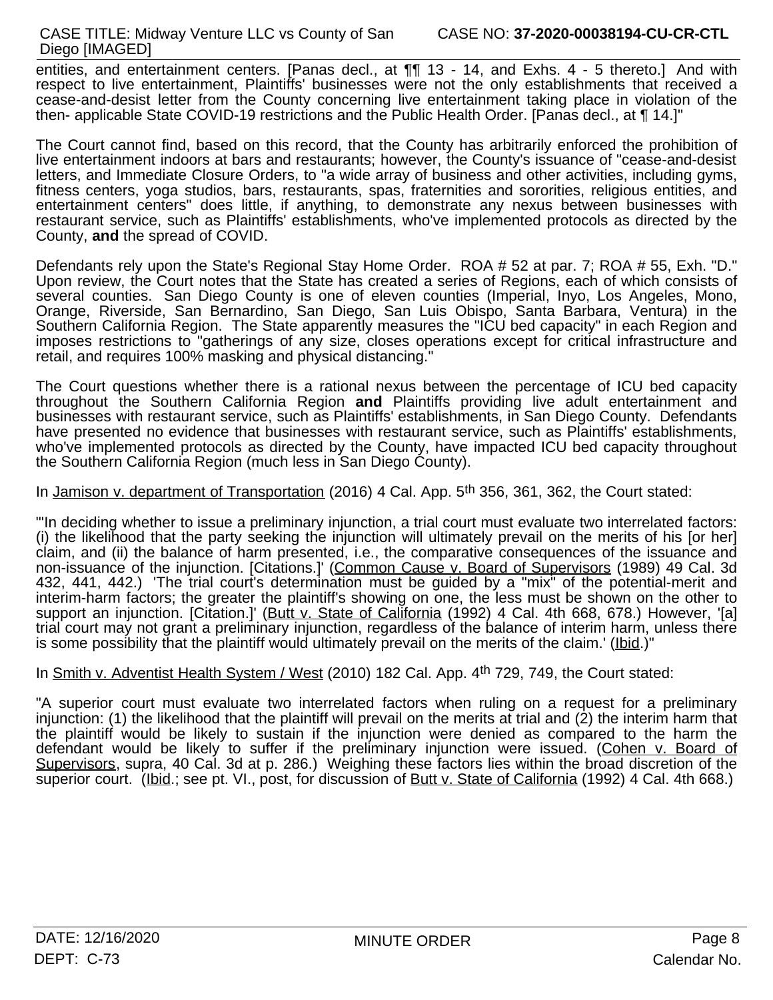entities, and entertainment centers. [Panas decl., at ¶¶ 13 - 14, and Exhs. 4 - 5 thereto.] And with respect to live entertainment, Plaintiffs' businesses were not the only establishments that received a cease-and-desist letter from the County concerning live entertainment taking place in violation of the then- applicable State COVID-19 restrictions and the Public Health Order. [Panas decl., at ¶ 14.]"

The Court cannot find, based on this record, that the County has arbitrarily enforced the prohibition of live entertainment indoors at bars and restaurants; however, the County's issuance of "cease-and-desist letters, and Immediate Closure Orders, to "a wide array of business and other activities, including gyms, fitness centers, yoga studios, bars, restaurants, spas, fraternities and sororities, religious entities, and entertainment centers" does little, if anything, to demonstrate any nexus between businesses with restaurant service, such as Plaintiffs' establishments, who've implemented protocols as directed by the County, **and** the spread of COVID.

Defendants rely upon the State's Regional Stay Home Order. ROA # 52 at par. 7; ROA # 55, Exh. "D." Upon review, the Court notes that the State has created a series of Regions, each of which consists of several counties. San Diego County is one of eleven counties (Imperial, Inyo, Los Angeles, Mono, Orange, Riverside, San Bernardino, San Diego, San Luis Obispo, Santa Barbara, Ventura) in the Southern California Region. The State apparently measures the "ICU bed capacity" in each Region and imposes restrictions to "gatherings of any size, closes operations except for critical infrastructure and retail, and requires 100% masking and physical distancing."

The Court questions whether there is a rational nexus between the percentage of ICU bedcapacity throughout the Southern California Region **and** Plaintiffs providing live adult entertainment and businesses with restaurant service, such as Plaintiffs' establishments, in San Diego County. Defendants have presented no evidence that businesses with restaurant service, such as Plaintiffs' establishments, who've implemented protocols as directed by the County, have impacted ICU bed capacity throughout the Southern California Region (much less in San Diego County).

In Jamison v. department of Transportation (2016) 4 Cal. App. 5th 356, 361, 362, the Court stated:

"'In deciding whether to issue a preliminary injunction, a trial court must evaluate two interrelated factors: (i) the likelihood that the party seeking the injunction will ultimately prevail on the merits of his [or her] claim, and (ii) the balance of harm presented, i.e., the comparative consequences of the issuance and non-issuance of the injunction. [Citations.]' (Common Cause v. Board of Supervisors (1989) 49 Cal. 3d 432, 441, 442.) 'The trial court's determination must be guided by a "mix" of the potential-merit and interim-harm factors; the greater the plaintiff's showing on one, the less must be shown on the other to support an injunction. [Citation.]' (Butt v. State of California (1992) 4 Cal. 4th 668, 678.) However, '[a] trial court may not grant a preliminary injunction, regardless of the balance of interim harm, unless there is some possibility that the plaintiff would ultimately prevail on the merits of the claim.' (Ibid.)"

In Smith v. Adventist Health System / West (2010) 182 Cal. App. 4<sup>th</sup> 729, 749, the Court stated:

"A superior court must evaluate two interrelated factors when ruling on a request for a preliminary injunction: (1) the likelihood that the plaintiff will prevail on the merits at trial and (2) the interim harm that the plaintiff would be likely to sustain if the injunction were denied as compared to the harm the defendant would be likely to suffer if the preliminary injunction were issued. (Cohen v. Board of Supervisors, supra, 40 Cal. 3d at p. 286.) Weighing these factors lies within the broad discretion of the superior court. (Ibid.; see pt. VI., post, for discussion of Butt v. State of California (1992) 4 Cal. 4th 668.)